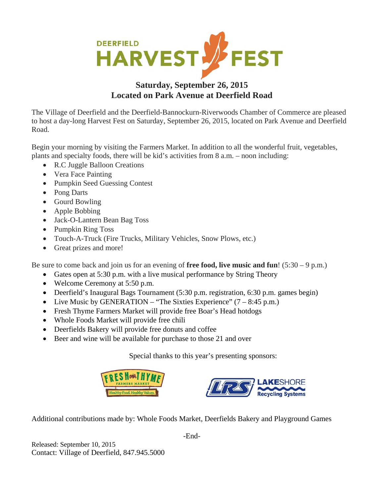

## **Saturday, September 26, 2015 Located on Park Avenue at Deerfield Road**

The Village of Deerfield and the Deerfield-Bannockurn-Riverwoods Chamber of Commerce are pleased to host a day-long Harvest Fest on Saturday, September 26, 2015, located on Park Avenue and Deerfield Road.

Begin your morning by visiting the Farmers Market. In addition to all the wonderful fruit, vegetables, plants and specialty foods, there will be kid's activities from 8 a.m. – noon including:

- R.C Juggle Balloon Creations
- Vera Face Painting
- Pumpkin Seed Guessing Contest
- Pong Darts
- Gourd Bowling
- Apple Bobbing
- Jack-O-Lantern Bean Bag Toss
- Pumpkin Ring Toss
- Touch-A-Truck (Fire Trucks, Military Vehicles, Snow Plows, etc.)
- Great prizes and more!

Be sure to come back and join us for an evening of **free food, live music and fun**! (5:30 – 9 p.m.)

- Gates open at 5:30 p.m. with a live musical performance by String Theory
- Welcome Ceremony at 5:50 p.m.
- Deerfield's Inaugural Bags Tournament (5:30 p.m. registration, 6:30 p.m. games begin)
- Live Music by GENERATION "The Sixties Experience"  $(7 8.45 \text{ p.m.})$
- Fresh Thyme Farmers Market will provide free Boar's Head hotdogs
- Whole Foods Market will provide free chili
- Deerfields Bakery will provide free donuts and coffee
- Beer and wine will be available for purchase to those 21 and over

Special thanks to this year's presenting sponsors:





Additional contributions made by: Whole Foods Market, Deerfields Bakery and Playground Games

Released: September 10, 2015 Contact: Village of Deerfield, 847.945.5000 -End-